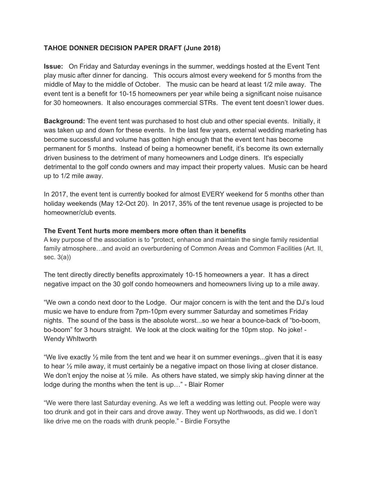# **TAHOE DONNER DECISION PAPER DRAFT (June 2018)**

**Issue:** On Friday and Saturday evenings in the summer, weddings hosted at the Event Tent play music after dinner for dancing. This occurs almost every weekend for 5 months from the middle of May to the middle of October. The music can be heard at least 1/2 mile away. The event tent is a benefit for 10-15 homeowners per year while being a significant noise nuisance for 30 homeowners. It also encourages commercial STRs. The event tent doesn't lower dues.

**Background:** The event tent was purchased to host club and other special events. Initially, it was taken up and down for these events. In the last few years, external wedding marketing has become successful and volume has gotten high enough that the event tent has become permanent for 5 months. Instead of being a homeowner benefit, it's become its own externally driven business to the detriment of many homeowners and Lodge diners. It's especially detrimental to the golf condo owners and may impact their property values. Music can be heard up to 1/2 mile away.

In 2017, the event tent is currently booked for almost EVERY weekend for 5 months other than holiday weekends (May 12-Oct 20). In 2017, 35% of the tent revenue usage is projected to be homeowner/club events.

## **The Event Tent hurts more members more often than it benefits**

A key purpose of the association is to "protect, enhance and maintain the single family residential family atmosphere…and avoid an overburdening of Common Areas and Common Facilities (Art. II, sec. 3(a))

The tent directly directly benefits approximately 10-15 homeowners a year. It has a direct negative impact on the 30 golf condo homeowners and homeowners living up to a mile away.

"We own a condo next door to the Lodge. Our major concern is with the tent and the DJ's loud music we have to endure from 7pm-10pm every summer Saturday and sometimes Friday nights. The sound of the bass is the absolute worst...so we hear a bounce-back of "bo-boom, bo-boom" for 3 hours straight. We look at the clock waiting for the 10pm stop. No joke! - Wendy WhItworth

"We live exactly  $\frac{1}{2}$  mile from the tent and we hear it on summer evenings...given that it is easy to hear ½ mile away, it must certainly be a negative impact on those living at closer distance. We don't enjoy the noise at  $\frac{1}{2}$  mile. As others have stated, we simply skip having dinner at the lodge during the months when the tent is up…" - Blair Romer

"We were there last Saturday evening. As we left a wedding was letting out. People were way too drunk and got in their cars and drove away. They went up Northwoods, as did we. I don't like drive me on the roads with drunk people." - Birdie Forsythe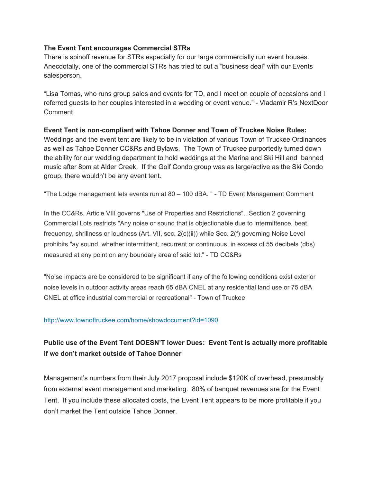# **The Event Tent encourages Commercial STRs**

There is spinoff revenue for STRs especially for our large commercially run event houses. Anecdotally, one of the commercial STRs has tried to cut a "business deal" with our Events salesperson.

"Lisa Tomas, who runs group sales and events for TD, and I meet on couple of occasions and I referred guests to her couples interested in a wedding or event venue." - Vladamir R's NextDoor Comment

## **Event Tent is non-compliant with Tahoe Donner and Town of Truckee Noise Rules:**

Weddings and the event tent are likely to be in violation of various Town of Truckee Ordinances as well as Tahoe Donner CC&Rs and Bylaws. The Town of Truckee purportedly turned down the ability for our wedding department to hold weddings at the Marina and Ski Hill and banned music after 8pm at Alder Creek. If the Golf Condo group was as large/active as the Ski Condo group, there wouldn't be any event tent.

"The Lodge management lets events run at 80 – 100 dBA. " - TD Event Management Comment

In the CC&Rs, Article VIII governs "Use of Properties and Restrictions"...Section 2 governing Commercial Lots restricts "Any noise or sound that is objectionable due to intermittence, beat, frequency, shrillness or loudness (Art. VII, sec. 2(c)(ii)) while Sec. 2(f) governing Noise Level prohibits "ay sound, whether intermittent, recurrent or continuous, in excess of 55 decibels (dbs) measured at any point on any boundary area of said lot." - TD CC&Rs

"Noise impacts are be considered to be significant if any of the following conditions exist exterior noise levels in outdoor activity areas reach 65 dBA CNEL at any residential land use or 75 dBA CNEL at office industrial commercial or recreational" - Town of Truckee

### <http://www.townoftruckee.com/home/showdocument?id=1090>

# **Public use of the Event Tent DOESN'T lower Dues: Event Tent is actually more profitable if we don't market outside of Tahoe Donner**

Management's numbers from their July 2017 proposal include \$120K of overhead, presumably from external event management and marketing. 80% of banquet revenues are for the Event Tent. If you include these allocated costs, the Event Tent appears to be more profitable if you don't market the Tent outside Tahoe Donner.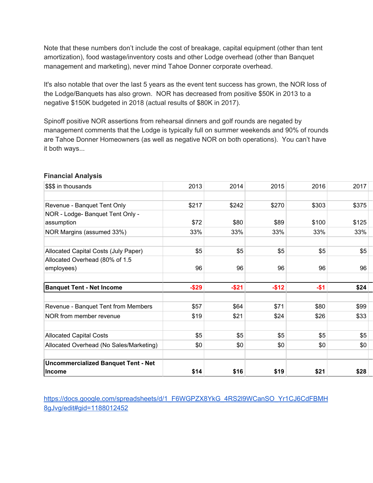Note that these numbers don't include the cost of breakage, capital equipment (other than tent amortization), food wastage/inventory costs and other Lodge overhead (other than Banquet management and marketing), never mind Tahoe Donner corporate overhead.

It's also notable that over the last 5 years as the event tent success has grown, the NOR loss of the Lodge/Banquets has also grown. NOR has decreased from positive \$50K in 2013 to a negative \$150K budgeted in 2018 (actual results of \$80K in 2017).

Spinoff positive NOR assertions from rehearsal dinners and golf rounds are negated by management comments that the Lodge is typically full on summer weekends and 90% of rounds are Tahoe Donner Homeowners (as well as negative NOR on both operations). You can't have it both ways...

| \$\$\$ in thousands                                         | 2013   | 2014     | 2015   | 2016    | 2017  |
|-------------------------------------------------------------|--------|----------|--------|---------|-------|
|                                                             |        |          |        |         |       |
| Revenue - Banquet Tent Only                                 | \$217  | \$242    | \$270  | \$303   | \$375 |
| NOR - Lodge- Banquet Tent Only -                            |        |          |        |         |       |
| assumption                                                  | \$72   | \$80     | \$89   | \$100   | \$125 |
| NOR Margins (assumed 33%)                                   | 33%    | 33%      | 33%    | 33%     | 33%   |
| Allocated Capital Costs (July Paper)                        | \$5    | \$5      | \$5    | \$5     | \$5   |
| Allocated Overhead (80% of 1.5                              |        |          |        |         |       |
| employees)                                                  | 96     | 96       | 96     | 96      | 96    |
|                                                             |        |          |        |         |       |
| <b>Banquet Tent - Net Income</b>                            | $-$29$ | $-$ \$21 | $-$12$ | $-$ \$1 | \$24  |
|                                                             |        |          |        |         |       |
| Revenue - Banquet Tent from Members                         | \$57   | \$64     | \$71   | \$80    | \$99  |
| NOR from member revenue                                     | \$19   | \$21     | \$24   | \$26    | \$33  |
|                                                             |        |          |        |         |       |
| <b>Allocated Capital Costs</b>                              | \$5    | \$5      | \$5    | \$5     | \$5   |
| Allocated Overhead (No Sales/Marketing)                     | \$0    | \$0      | \$0    | \$0     | \$0   |
|                                                             |        |          |        |         |       |
| <b>Uncommercialized Banquet Tent - Net</b><br><b>Income</b> | \$14   | \$16     | \$19   | \$21    | \$28  |

# **Financial Analysis**

[https://docs.google.com/spreadsheets/d/1\\_F6WGPZX8YkG\\_4RS2l9WCanSO\\_Yr1CJ6CdFBMH](https://docs.google.com/spreadsheets/d/1_F6WGPZX8YkG_4RS2l9WCanSO_Yr1CJ6CdFBMH8gJvg/edit#gid=1188012452) [8gJvg/edit#gid=1188012452](https://docs.google.com/spreadsheets/d/1_F6WGPZX8YkG_4RS2l9WCanSO_Yr1CJ6CdFBMH8gJvg/edit#gid=1188012452)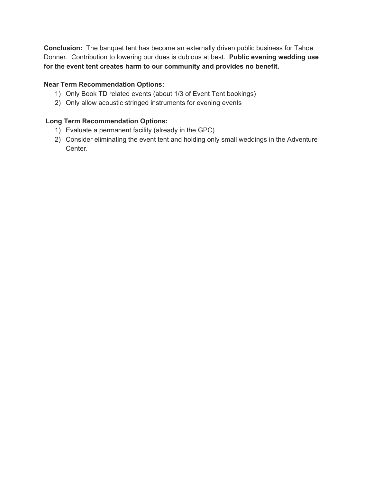**Conclusion:** The banquet tent has become an externally driven public business for Tahoe Donner. Contribution to lowering our dues is dubious at best. **Public evening wedding use for the event tent creates harm to our community and provides no benefit.**

# **Near Term Recommendation Options:**

- 1) Only Book TD related events (about 1/3 of Event Tent bookings)
- 2) Only allow acoustic stringed instruments for evening events

# **Long Term Recommendation Options:**

- 1) Evaluate a permanent facility (already in the GPC)
- 2) Consider eliminating the event tent and holding only small weddings in the Adventure Center.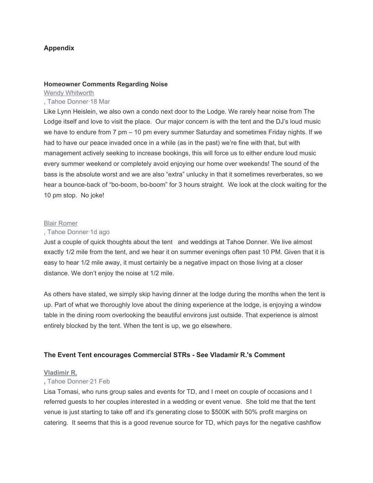# **Appendix**

#### **Homeowner Comments Regarding Noise**

[Wendy Whitworth](https://nextdoor.com/profile/6497036/) , Tahoe Donner·18 Mar

Like Lynn Heislein, we also own a condo next door to the Lodge. We rarely hear noise from The Lodge itself and love to visit the place. Our major concern is with the tent and the DJ's loud music we have to endure from 7 pm – 10 pm every summer Saturday and sometimes Friday nights. If we had to have our peace invaded once in a while (as in the past) we're fine with that, but with management actively seeking to increase bookings, this will force us to either endure loud music every summer weekend or completely avoid enjoying our home over weekends! The sound of the bass is the absolute worst and we are also "extra" unlucky in that it sometimes reverberates, so we hear a bounce-back of "bo-boom, bo-boom" for 3 hours straight. We look at the clock waiting for the 10 pm stop. No joke!

#### [Blair Romer](https://nextdoor.com/profile/17856622/)

### , Tahoe Donner·1d ago

Just a couple of quick thoughts about the tent and weddings at Tahoe Donner. We live almost exactly 1/2 mile from the tent, and we hear it on summer evenings often past 10 PM. Given that it is easy to hear 1/2 mile away, it must certainly be a negative impact on those living at a closer distance. We don't enjoy the noise at 1/2 mile.

As others have stated, we simply skip having dinner at the lodge during the months when the tent is up. Part of what we thoroughly love about the dining experience at the lodge, is enjoying a window table in the dining room overlooking the beautiful environs just outside. That experience is almost entirely blocked by the tent. When the tent is up, we go elsewhere.

# **The Event Tent encourages Commercial STRs - See Vladamir R.'s Comment**

### **[Vladimir R.](https://nextdoor.com/profile/24400242/)**

### **,** Tahoe Donner·21 Feb

Lisa Tomasi, who runs group sales and events for TD, and I meet on couple of occasions and I referred guests to her couples interested in a wedding or event venue. She told me that the tent venue is just starting to take off and it's generating close to \$500K with 50% profit margins on catering. It seems that this is a good revenue source for TD, which pays for the negative cashflow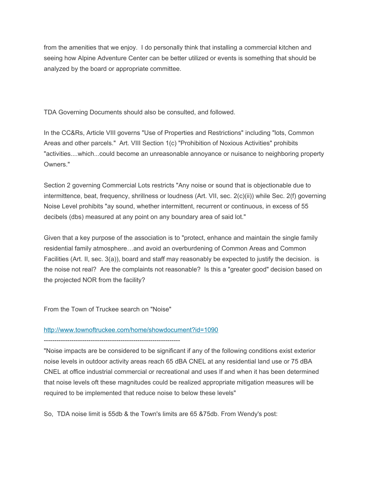from the amenities that we enjoy. I do personally think that installing a commercial kitchen and seeing how Alpine Adventure Center can be better utilized or events is something that should be analyzed by the board or appropriate committee.

TDA Governing Documents should also be consulted, and followed.

In the CC&Rs, Article VIII governs "Use of Properties and Restrictions" including "lots, Common Areas and other parcels." Art. VIII Section 1(c) "Prohibition of Noxious Activities" prohibits "activities....which...could become an unreasonable annoyance or nuisance to neighboring property Owners."

Section 2 governing Commercial Lots restricts "Any noise or sound that is objectionable due to intermittence, beat, frequency, shrillness or loudness (Art. VII, sec. 2(c)(ii)) while Sec. 2(f) governing Noise Level prohibits "ay sound, whether intermittent, recurrent or continuous, in excess of 55 decibels (dbs) measured at any point on any boundary area of said lot."

Given that a key purpose of the association is to "protect, enhance and maintain the single family residential family atmosphere…and avoid an overburdening of Common Areas and Common Facilities (Art. II, sec. 3(a)), board and staff may reasonably be expected to justify the decision. is the noise not real? Are the complaints not reasonable? Is this a "greater good" decision based on the projected NOR from the facility?

From the Town of Truckee search on "Noise"

### <http://www.townoftruckee.com/home/showdocument?id=1090>

----------------------------------------------------------------

"Noise impacts are be considered to be significant if any of the following conditions exist exterior noise levels in outdoor activity areas reach 65 dBA CNEL at any residential land use or 75 dBA CNEL at office industrial commercial or recreational and uses If and when it has been determined that noise levels oft these magnitudes could be realized appropriate mitigation measures will be required to be implemented that reduce noise to below these levels"

So, TDA noise limit is 55db & the Town's limits are 65 &75db. From Wendy's post: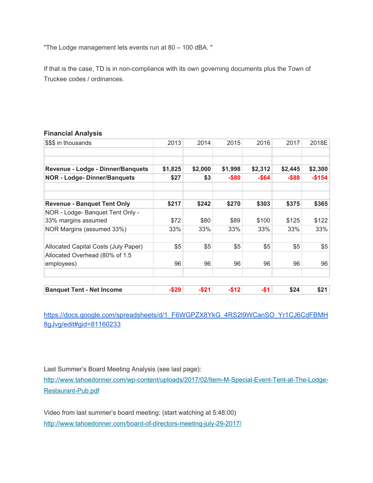"The Lodge management lets events run at 80 – 100 dBA. "

If that is the case, TD is in non-compliance with its own governing documents plus the Town of Truckee codes / ordinances.

### **Financial Analysis**

| \$\$\$ in thousands                  | 2013    | 2014    | 2015     | 2016    | 2017     | 2018E   |
|--------------------------------------|---------|---------|----------|---------|----------|---------|
|                                      |         |         |          |         |          |         |
| Revenue - Lodge - Dinner/Banquets    | \$1,825 | \$2,000 | \$1,998  | \$2,312 | \$2,445  | \$2,300 |
|                                      |         |         |          |         |          |         |
| <b>NOR - Lodge- Dinner/Banquets</b>  | \$27    | \$3     | -\$80    | -\$64   | $-$ \$88 | $-$154$ |
| <b>Revenue - Banquet Tent Only</b>   | \$217   | \$242   | \$270    | \$303   | \$375    | \$365   |
| NOR - Lodge- Banquet Tent Only -     |         |         |          |         |          |         |
| 33% margins assumed                  | \$72    | \$80    | \$89     | \$100   | \$125    | \$122   |
| NOR Margins (assumed 33%)            | 33%     | 33%     | 33%      | 33%     | 33%      | 33%     |
| Allocated Capital Costs (July Paper) | \$5     | \$5     | \$5      | \$5     | \$5      | \$5     |
| Allocated Overhead (80% of 1.5       |         |         |          |         |          |         |
| employees)                           | 96      | 96      | 96       | 96      | 96       | 96      |
|                                      |         |         |          |         |          |         |
| <b>Banquet Tent - Net Income</b>     | $-$29$  | $-$21$  | $-$ \$12 | $-$ \$1 | \$24     | \$21    |

[https://docs.google.com/spreadsheets/d/1\\_F6WGPZX8YkG\\_4RS2l9WCanSO\\_Yr1CJ6CdFBMH](https://docs.google.com/spreadsheets/d/1_F6WGPZX8YkG_4RS2l9WCanSO_Yr1CJ6CdFBMH8gJvg/edit#gid=81160233) [8gJvg/edit#gid=81160233](https://docs.google.com/spreadsheets/d/1_F6WGPZX8YkG_4RS2l9WCanSO_Yr1CJ6CdFBMH8gJvg/edit#gid=81160233)

Last Summer's Board Meeting Analysis (see last page):

[http://www.tahoedonner.com/wp-content/uploads/2017/02/Item-M-Special-Event-Tent-at-The-Lodge-](http://www.tahoedonner.com/wp-content/uploads/2017/02/Item-M-Special-Event-Tent-at-The-Lodge-Restaurant-Pub.pdf)[Restaurant-Pub.pdf](http://www.tahoedonner.com/wp-content/uploads/2017/02/Item-M-Special-Event-Tent-at-The-Lodge-Restaurant-Pub.pdf)

Video from last summer's board meeting: (start watching at 5:48:00) <http://www.tahoedonner.com/board-of-directors-meeting-july-29-2017/>